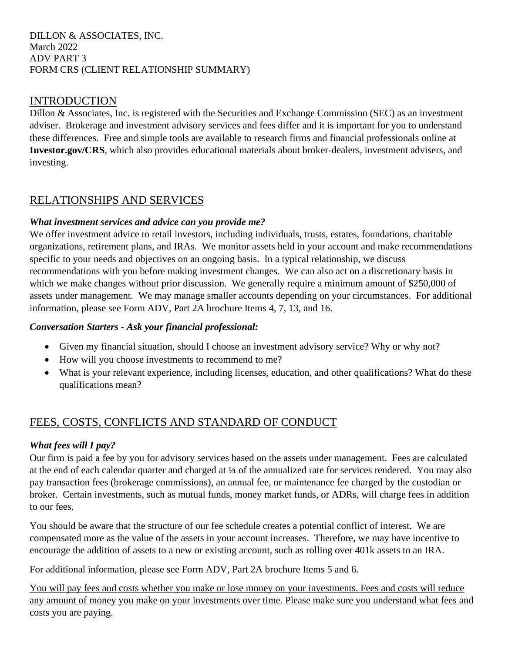### DILLON & ASSOCIATES, INC. March 2022 ADV PART 3 FORM CRS (CLIENT RELATIONSHIP SUMMARY)

## INTRODUCTION

Dillon & Associates, Inc. is registered with the Securities and Exchange Commission (SEC) as an investment adviser. Brokerage and investment advisory services and fees differ and it is important for you to understand these differences. Free and simple tools are available to research firms and financial professionals online at **Investor.gov/CRS**, which also provides educational materials about broker-dealers, investment advisers, and investing.

# RELATIONSHIPS AND SERVICES

## *What investment services and advice can you provide me?*

We offer investment advice to retail investors, including individuals, trusts, estates, foundations, charitable organizations, retirement plans, and IRAs. We monitor assets held in your account and make recommendations specific to your needs and objectives on an ongoing basis. In a typical relationship, we discuss recommendations with you before making investment changes. We can also act on a discretionary basis in which we make changes without prior discussion. We generally require a minimum amount of \$250,000 of assets under management. We may manage smaller accounts depending on your circumstances. For additional information, please see Form ADV, Part 2A brochure Items 4, 7, 13, and 16.

### *Conversation Starters - Ask your financial professional:*

- Given my financial situation, should I choose an investment advisory service? Why or why not?
- How will you choose investments to recommend to me?
- What is your relevant experience, including licenses, education, and other qualifications? What do these qualifications mean?

# FEES, COSTS, CONFLICTS AND STANDARD OF CONDUCT

### *What fees will I pay?*

Our firm is paid a fee by you for advisory services based on the assets under management. Fees are calculated at the end of each calendar quarter and charged at ¼ of the annualized rate for services rendered. You may also pay transaction fees (brokerage commissions), an annual fee, or maintenance fee charged by the custodian or broker. Certain investments, such as mutual funds, money market funds, or ADRs, will charge fees in addition to our fees.

You should be aware that the structure of our fee schedule creates a potential conflict of interest. We are compensated more as the value of the assets in your account increases. Therefore, we may have incentive to encourage the addition of assets to a new or existing account, such as rolling over 401k assets to an IRA.

For additional information, please see Form ADV, Part 2A brochure Items 5 and 6.

You will pay fees and costs whether you make or lose money on your investments. Fees and costs will reduce any amount of money you make on your investments over time. Please make sure you understand what fees and costs you are paying.